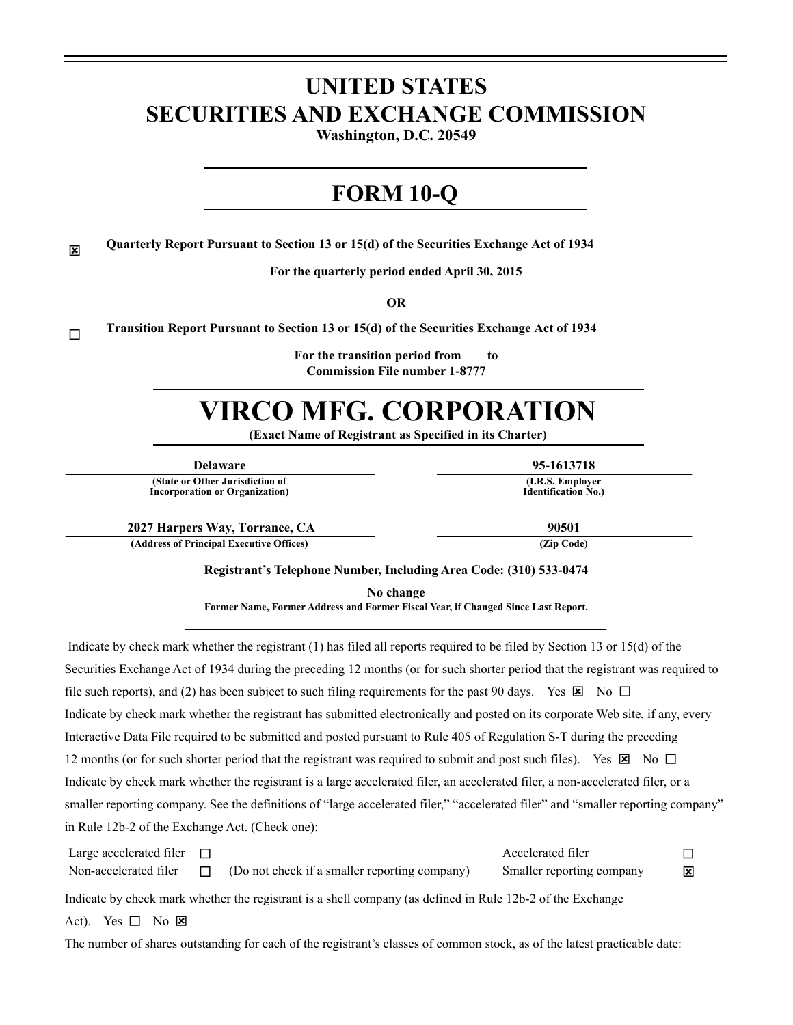# **UNITED STATES SECURITIES AND EXCHANGE COMMISSION**

**Washington, D.C. 20549**

## **FORM 10-Q**

**Quarterly Report Pursuant to Section 13 or 15(d) of the Securities Exchange Act of 1934** 冈

**For the quarterly period ended April 30, 2015**

**OR**

**Transition Report Pursuant to Section 13 or 15(d) of the Securities Exchange Act of 1934**  $\Box$ 

> **For the transition period from to Commission File number 1-8777**

# **VIRCO MFG. CORPORATION**

**(Exact Name of Registrant as Specified in its Charter)**

**Delaware 95-1613718 (State or Other Jurisdiction of Incorporation or Organization) (I.R.S. Employer Identification No.) 2027 Harpers Way, Torrance, CA 90501 (Address of Principal Executive Offices) (Zip Code)**

**Registrant's Telephone Number, Including Area Code: (310) 533-0474**

**No change**

**Former Name, Former Address and Former Fiscal Year, if Changed Since Last Report.**

 Indicate by check mark whether the registrant (1) has filed all reports required to be filed by Section 13 or 15(d) of the Securities Exchange Act of 1934 during the preceding 12 months (or for such shorter period that the registrant was required to file such reports), and (2) has been subject to such filing requirements for the past 90 days. Yes  $\boxtimes$  No  $\square$ Indicate by check mark whether the registrant has submitted electronically and posted on its corporate Web site, if any, every Interactive Data File required to be submitted and posted pursuant to Rule 405 of Regulation S-T during the preceding 12 months (or for such shorter period that the registrant was required to submit and post such files). Yes  $\boxtimes$  No  $\square$ Indicate by check mark whether the registrant is a large accelerated filer, an accelerated filer, a non-accelerated filer, or a smaller reporting company. See the definitions of "large accelerated filer," "accelerated filer" and "smaller reporting company" in Rule 12b-2 of the Exchange Act. (Check one):

| Large accelerated filer $\Box$  |                                                                                                            | Accelerated filer         | $\Box$       |
|---------------------------------|------------------------------------------------------------------------------------------------------------|---------------------------|--------------|
| Non-accelerated filer           | (Do not check if a smaller reporting company)                                                              | Smaller reporting company | $\mathbf{x}$ |
|                                 | Indicate by check mark whether the registrant is a shell company (as defined in Rule 12b-2 of the Exchange |                           |              |
| Act). Yes $\Box$ No $\boxtimes$ |                                                                                                            |                           |              |

The number of shares outstanding for each of the registrant's classes of common stock, as of the latest practicable date: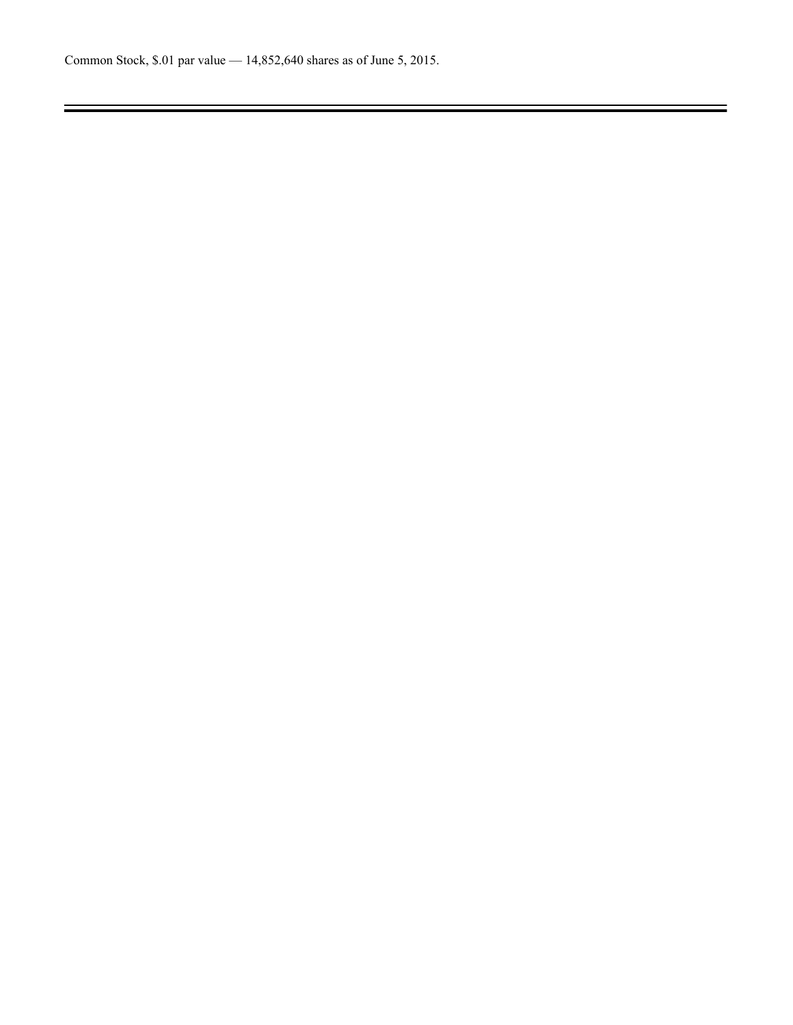Common Stock, \$.01 par value — 14,852,640 shares as of June 5, 2015.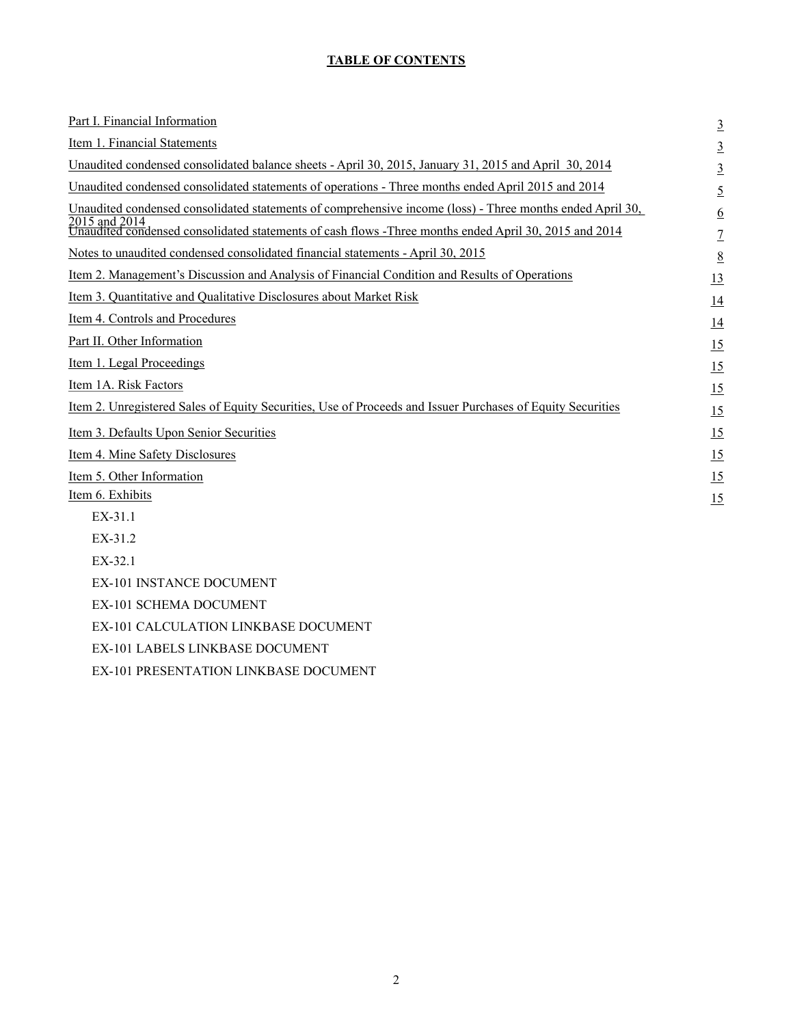## **TABLE OF CONTENTS**

| Part I. Financial Information                                                                                           | $\overline{3}$  |
|-------------------------------------------------------------------------------------------------------------------------|-----------------|
| Item 1. Financial Statements                                                                                            | $\overline{3}$  |
| Unaudited condensed consolidated balance sheets - April 30, 2015, January 31, 2015 and April 30, 2014                   | $\overline{3}$  |
| Unaudited condensed consolidated statements of operations - Three months ended April 2015 and 2014                      | $\overline{2}$  |
| Unaudited condensed consolidated statements of comprehensive income (loss) - Three months ended April 30,               | $\underline{6}$ |
| 2015 and 2014<br><b>Let Condensed consolidated statements of cash flows -Three months ended April 30, 2015 and 2014</b> | $\overline{1}$  |
| Notes to unaudited condensed consolidated financial statements - April 30, 2015                                         | 8               |
| Item 2. Management's Discussion and Analysis of Financial Condition and Results of Operations                           | 13              |
| Item 3. Quantitative and Qualitative Disclosures about Market Risk                                                      | 14              |
| Item 4. Controls and Procedures                                                                                         | 14              |
| Part II. Other Information                                                                                              | 15              |
| Item 1. Legal Proceedings                                                                                               | 15              |
| Item 1A. Risk Factors                                                                                                   | 15              |
| Item 2. Unregistered Sales of Equity Securities, Use of Proceeds and Issuer Purchases of Equity Securities              | 15              |
| Item 3. Defaults Upon Senior Securities                                                                                 | 15              |
| Item 4. Mine Safety Disclosures                                                                                         | 15              |
| Item 5. Other Information                                                                                               | 15              |
| Item 6. Exhibits                                                                                                        | 15              |
| EX-31.1                                                                                                                 |                 |
| EX-31.2                                                                                                                 |                 |
| EX-32.1                                                                                                                 |                 |
| <b>EX-101 INSTANCE DOCUMENT</b>                                                                                         |                 |
| <b>EX-101 SCHEMA DOCUMENT</b>                                                                                           |                 |
| <b>EX-101 CALCULATION LINKBASE DOCUMENT</b>                                                                             |                 |
|                                                                                                                         |                 |

EX-101 LABELS LINKBASE DOCUMENT

EX-101 PRESENTATION LINKBASE DOCUMENT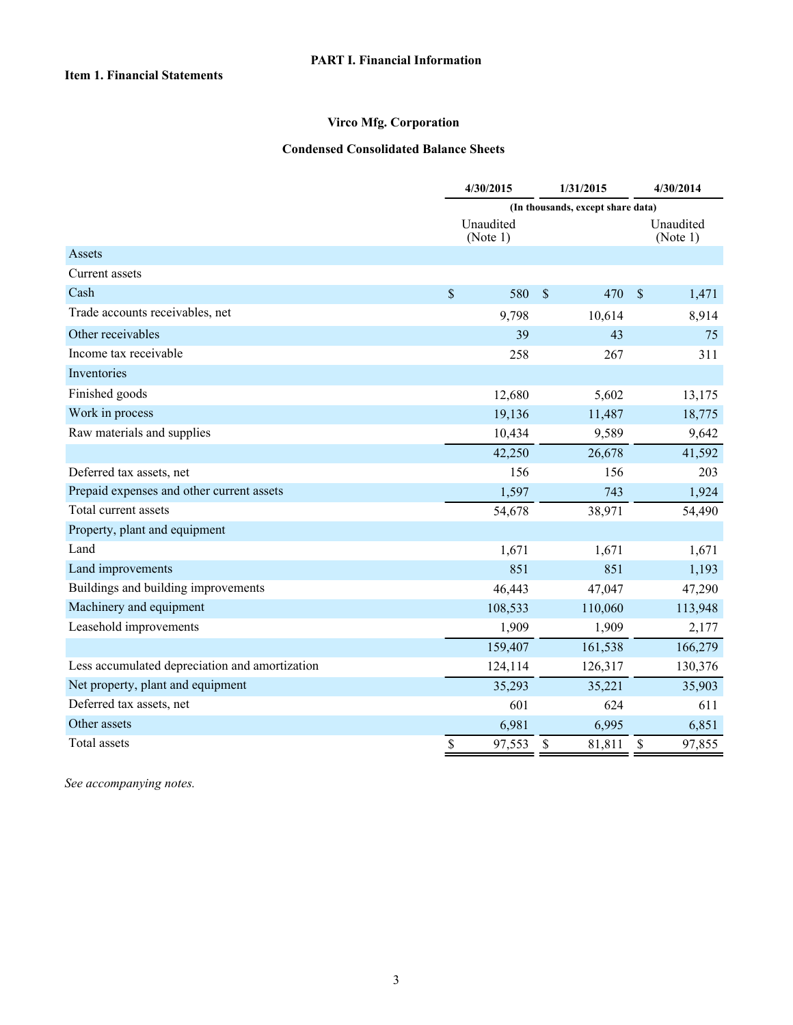#### **Condensed Consolidated Balance Sheets**

<span id="page-3-2"></span><span id="page-3-1"></span><span id="page-3-0"></span>

|                                                | 4/30/2015                        | 1/31/2015                         | 4/30/2014               |
|------------------------------------------------|----------------------------------|-----------------------------------|-------------------------|
|                                                |                                  | (In thousands, except share data) |                         |
|                                                | Unaudited<br>(Note 1)            |                                   | Unaudited<br>(Note 1)   |
| Assets                                         |                                  |                                   |                         |
| Current assets                                 |                                  |                                   |                         |
| Cash                                           | $\boldsymbol{\mathsf{S}}$<br>580 | $\mathcal{S}$<br>470              | $\mathcal{S}$<br>1,471  |
| Trade accounts receivables, net                | 9,798                            | 10,614                            | 8,914                   |
| Other receivables                              | 39                               | 43                                | 75                      |
| Income tax receivable                          | 258                              | 267                               | 311                     |
| Inventories                                    |                                  |                                   |                         |
| Finished goods                                 | 12,680                           | 5,602                             | 13,175                  |
| Work in process                                | 19,136                           | 11,487                            | 18,775                  |
| Raw materials and supplies                     | 10,434                           | 9,589                             | 9,642                   |
|                                                | 42,250                           | 26,678                            | 41,592                  |
| Deferred tax assets, net                       | 156                              | 156                               | 203                     |
| Prepaid expenses and other current assets      | 1,597                            | 743                               | 1,924                   |
| Total current assets                           | 54,678                           | 38,971                            | 54,490                  |
| Property, plant and equipment                  |                                  |                                   |                         |
| Land                                           | 1,671                            | 1,671                             | 1,671                   |
| Land improvements                              | 851                              | 851                               | 1,193                   |
| Buildings and building improvements            | 46,443                           | 47,047                            | 47,290                  |
| Machinery and equipment                        | 108,533                          | 110,060                           | 113,948                 |
| Leasehold improvements                         | 1,909                            | 1,909                             | 2,177                   |
|                                                | 159,407                          | 161,538                           | 166,279                 |
| Less accumulated depreciation and amortization | 124,114                          | 126,317                           | 130,376                 |
| Net property, plant and equipment              | 35,293                           | 35,221                            | 35,903                  |
| Deferred tax assets, net                       | 601                              | 624                               | 611                     |
| Other assets                                   | 6,981                            | 6,995                             | 6,851                   |
| Total assets                                   | \$<br>97,553                     | \$<br>81,811                      | $\mathcal{S}$<br>97,855 |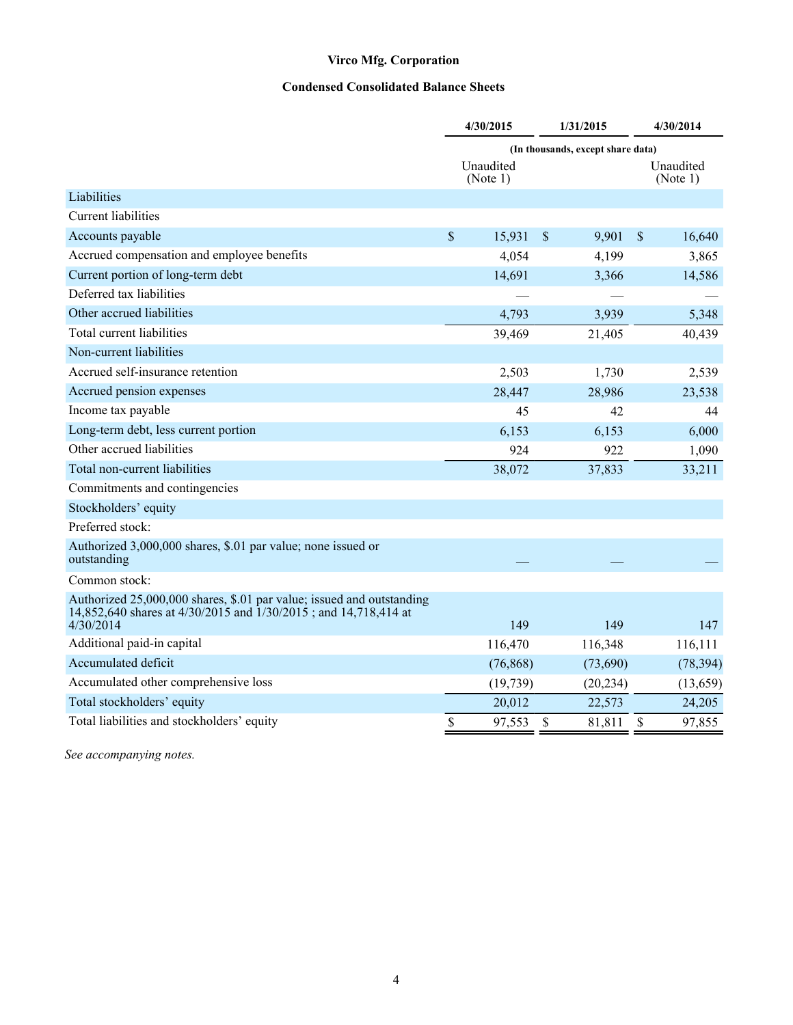## **Condensed Consolidated Balance Sheets**

|                                                                                                                                                       | 4/30/2015             |                                   | 1/31/2015 |    | 4/30/2014             |
|-------------------------------------------------------------------------------------------------------------------------------------------------------|-----------------------|-----------------------------------|-----------|----|-----------------------|
|                                                                                                                                                       |                       | (In thousands, except share data) |           |    |                       |
|                                                                                                                                                       | Unaudited<br>(Note 1) |                                   |           |    | Unaudited<br>(Note 1) |
| Liabilities                                                                                                                                           |                       |                                   |           |    |                       |
| <b>Current liabilities</b>                                                                                                                            |                       |                                   |           |    |                       |
| Accounts payable                                                                                                                                      | \$<br>15,931          | $\boldsymbol{\mathsf{S}}$         | 9,901     | \$ | 16,640                |
| Accrued compensation and employee benefits                                                                                                            | 4,054                 |                                   | 4,199     |    | 3,865                 |
| Current portion of long-term debt                                                                                                                     | 14,691                |                                   | 3,366     |    | 14,586                |
| Deferred tax liabilities                                                                                                                              |                       |                                   |           |    |                       |
| Other accrued liabilities                                                                                                                             | 4,793                 |                                   | 3,939     |    | 5,348                 |
| Total current liabilities                                                                                                                             | 39,469                |                                   | 21,405    |    | 40,439                |
| Non-current liabilities                                                                                                                               |                       |                                   |           |    |                       |
| Accrued self-insurance retention                                                                                                                      | 2,503                 |                                   | 1,730     |    | 2,539                 |
| Accrued pension expenses                                                                                                                              | 28,447                |                                   | 28,986    |    | 23,538                |
| Income tax payable                                                                                                                                    | 45                    |                                   | 42        |    | 44                    |
| Long-term debt, less current portion                                                                                                                  | 6,153                 |                                   | 6,153     |    | 6,000                 |
| Other accrued liabilities                                                                                                                             | 924                   |                                   | 922       |    | 1,090                 |
| Total non-current liabilities                                                                                                                         | 38,072                |                                   | 37,833    |    | 33,211                |
| Commitments and contingencies                                                                                                                         |                       |                                   |           |    |                       |
| Stockholders' equity                                                                                                                                  |                       |                                   |           |    |                       |
| Preferred stock:                                                                                                                                      |                       |                                   |           |    |                       |
| Authorized 3,000,000 shares, \$.01 par value; none issued or<br>outstanding                                                                           |                       |                                   |           |    |                       |
| Common stock:                                                                                                                                         |                       |                                   |           |    |                       |
| Authorized 25,000,000 shares, \$.01 par value; issued and outstanding<br>14,852,640 shares at 4/30/2015 and 1/30/2015; and 14,718,414 at<br>4/30/2014 | 149                   |                                   | 149       |    | 147                   |
| Additional paid-in capital                                                                                                                            | 116,470               |                                   | 116,348   |    | 116,111               |
| Accumulated deficit                                                                                                                                   | (76, 868)             |                                   | (73,690)  |    | (78, 394)             |
| Accumulated other comprehensive loss                                                                                                                  | (19, 739)             |                                   | (20, 234) |    | (13, 659)             |
| Total stockholders' equity                                                                                                                            | 20,012                |                                   | 22,573    |    | 24,205                |
| Total liabilities and stockholders' equity                                                                                                            | \$<br>97,553          | \$                                | 81,811    | \$ | 97,855                |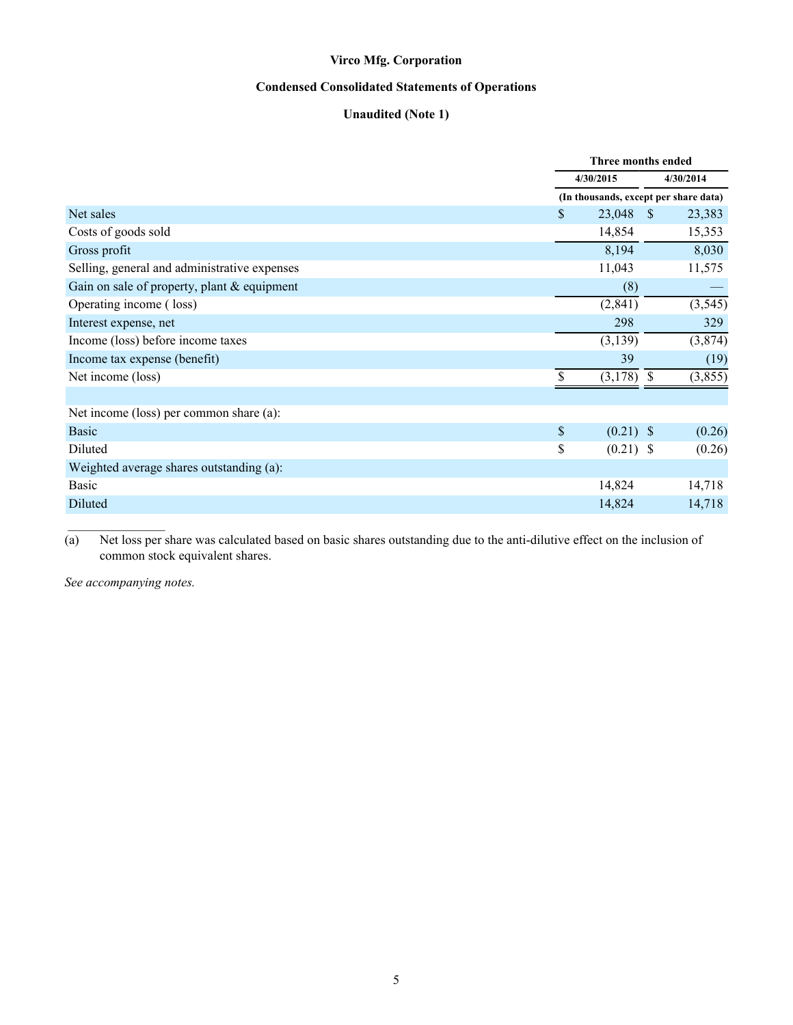## **Condensed Consolidated Statements of Operations**

## **Unaudited (Note 1)**

<span id="page-5-0"></span>

|                                               | Three months ended |                                       |           |  |  |
|-----------------------------------------------|--------------------|---------------------------------------|-----------|--|--|
|                                               | 4/30/2015          |                                       | 4/30/2014 |  |  |
|                                               |                    | (In thousands, except per share data) |           |  |  |
| Net sales                                     | \$<br>23,048       | <b>S</b>                              | 23,383    |  |  |
| Costs of goods sold                           | 14,854             |                                       | 15,353    |  |  |
| Gross profit                                  | 8,194              |                                       | 8,030     |  |  |
| Selling, general and administrative expenses  | 11,043             |                                       | 11,575    |  |  |
| Gain on sale of property, plant $&$ equipment | (8)                |                                       |           |  |  |
| Operating income (loss)                       | (2,841)            |                                       | (3, 545)  |  |  |
| Interest expense, net                         | 298                |                                       | 329       |  |  |
| Income (loss) before income taxes             | (3,139)            |                                       | (3,874)   |  |  |
| Income tax expense (benefit)                  | 39                 |                                       | (19)      |  |  |
| Net income (loss)                             | \$<br>(3,178)      | <sup>\$</sup>                         | (3, 855)  |  |  |
|                                               |                    |                                       |           |  |  |
| Net income (loss) per common share (a):       |                    |                                       |           |  |  |
| <b>Basic</b>                                  | \$<br>$(0.21)$ \$  |                                       | (0.26)    |  |  |
| Diluted                                       | \$<br>$(0.21)$ \$  |                                       | (0.26)    |  |  |
| Weighted average shares outstanding (a):      |                    |                                       |           |  |  |
| <b>Basic</b>                                  | 14,824             |                                       | 14,718    |  |  |
| Diluted                                       | 14,824             |                                       | 14,718    |  |  |

(a) Net loss per share was calculated based on basic shares outstanding due to the anti-dilutive effect on the inclusion of common stock equivalent shares.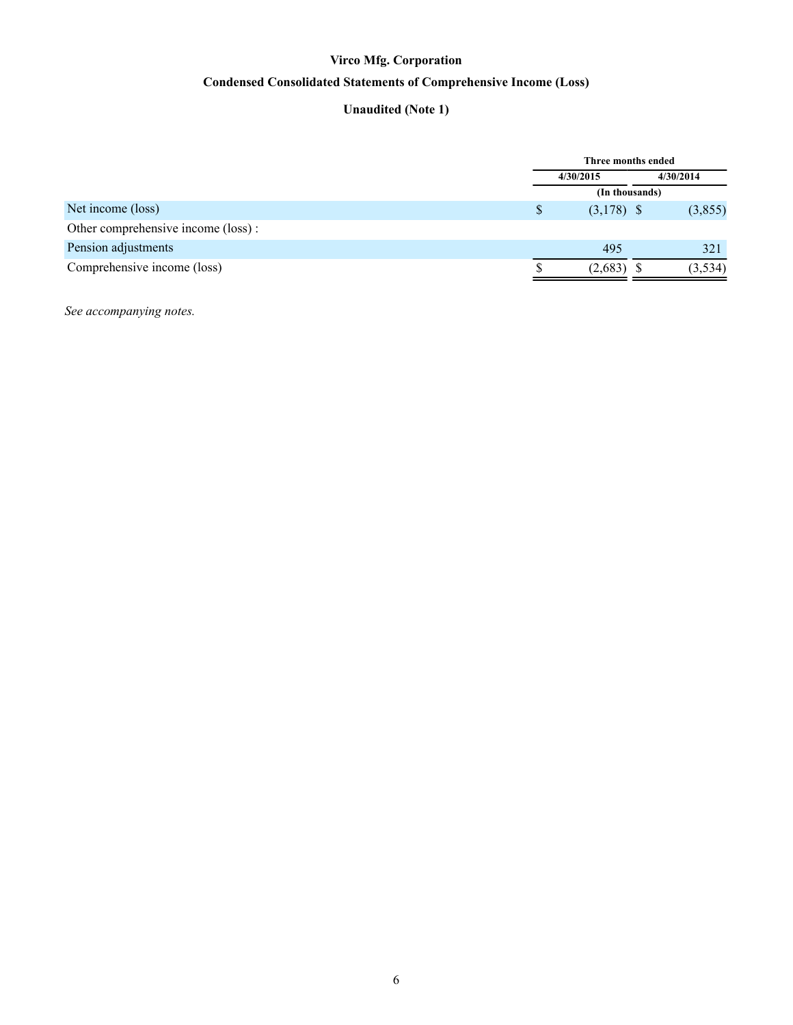## **Condensed Consolidated Statements of Comprehensive Income (Loss)**

## **Unaudited (Note 1)**

<span id="page-6-0"></span>

|   | Three months ended |           |                                |  |  |
|---|--------------------|-----------|--------------------------------|--|--|
|   |                    | 4/30/2014 |                                |  |  |
|   |                    |           |                                |  |  |
| S |                    |           | (3,855)                        |  |  |
|   |                    |           |                                |  |  |
|   | 495                |           | 321                            |  |  |
|   | (2,683)            |           | (3, 534)                       |  |  |
|   |                    | 4/30/2015 | (In thousands)<br>$(3,178)$ \$ |  |  |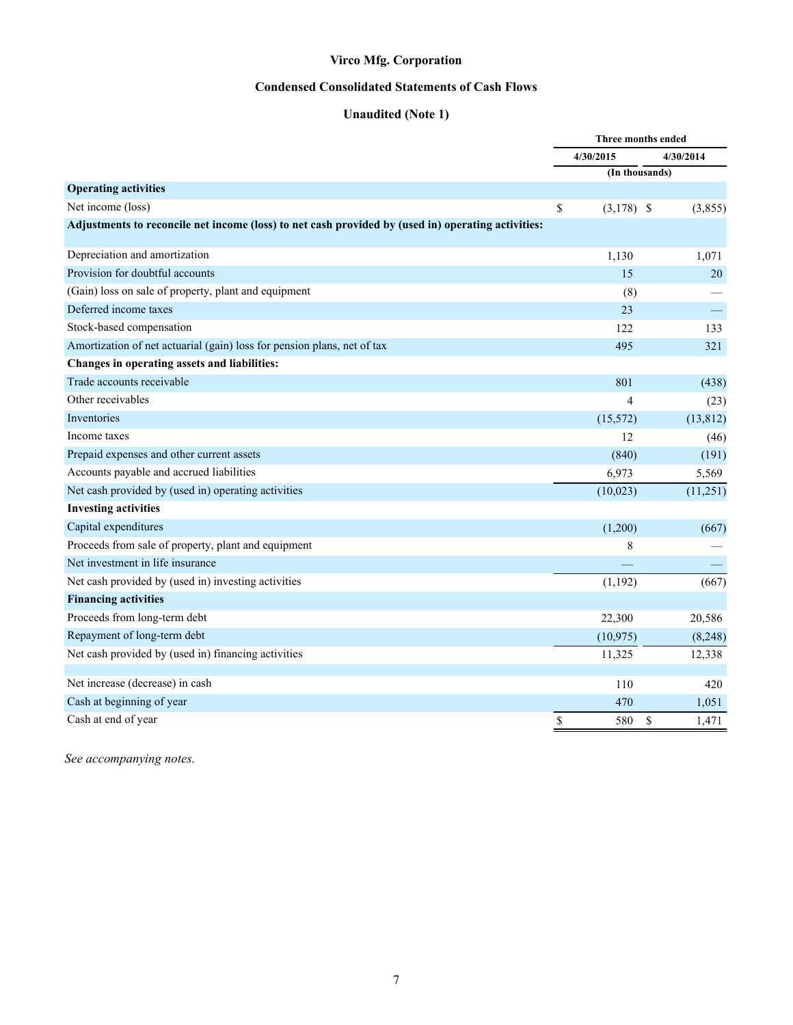#### **Condensed Consolidated Statements of Cash Flows**

## **Unaudited (Note 1)**

<span id="page-7-0"></span>

|                                                                                                    | Three months ended |    |           |
|----------------------------------------------------------------------------------------------------|--------------------|----|-----------|
|                                                                                                    | 4/30/2015          |    | 4/30/2014 |
|                                                                                                    | (In thousands)     |    |           |
| <b>Operating activities</b>                                                                        |                    |    |           |
| Net income (loss)                                                                                  | \$<br>$(3,178)$ \$ |    | (3,855)   |
| Adjustments to reconcile net income (loss) to net cash provided by (used in) operating activities: |                    |    |           |
| Depreciation and amortization                                                                      | 1,130              |    | 1,071     |
| Provision for doubtful accounts                                                                    | 15                 |    | 20        |
| (Gain) loss on sale of property, plant and equipment                                               | (8)                |    |           |
| Deferred income taxes                                                                              | 23                 |    |           |
| Stock-based compensation                                                                           | 122                |    | 133       |
| Amortization of net actuarial (gain) loss for pension plans, net of tax                            | 495                |    | 321       |
| Changes in operating assets and liabilities:                                                       |                    |    |           |
| Trade accounts receivable                                                                          | 801                |    | (438)     |
| Other receivables                                                                                  | $\overline{4}$     |    | (23)      |
| <b>Inventories</b>                                                                                 | (15, 572)          |    | (13, 812) |
| Income taxes                                                                                       | 12                 |    | (46)      |
| Prepaid expenses and other current assets                                                          | (840)              |    | (191)     |
| Accounts payable and accrued liabilities                                                           | 6,973              |    | 5,569     |
| Net cash provided by (used in) operating activities                                                | (10,023)           |    | (11,251)  |
| <b>Investing activities</b>                                                                        |                    |    |           |
| Capital expenditures                                                                               | (1,200)            |    | (667)     |
| Proceeds from sale of property, plant and equipment                                                | 8                  |    |           |
| Net investment in life insurance                                                                   |                    |    |           |
| Net cash provided by (used in) investing activities                                                | (1,192)            |    | (667)     |
| <b>Financing activities</b>                                                                        |                    |    |           |
| Proceeds from long-term debt                                                                       | 22,300             |    | 20,586    |
| Repayment of long-term debt                                                                        | (10, 975)          |    | (8,248)   |
| Net cash provided by (used in) financing activities                                                | 11,325             |    | 12,338    |
| Net increase (decrease) in cash                                                                    | 110                |    | 420       |
| Cash at beginning of year                                                                          | 470                |    | 1,051     |
| Cash at end of year                                                                                | \$<br>580          | \$ | 1,471     |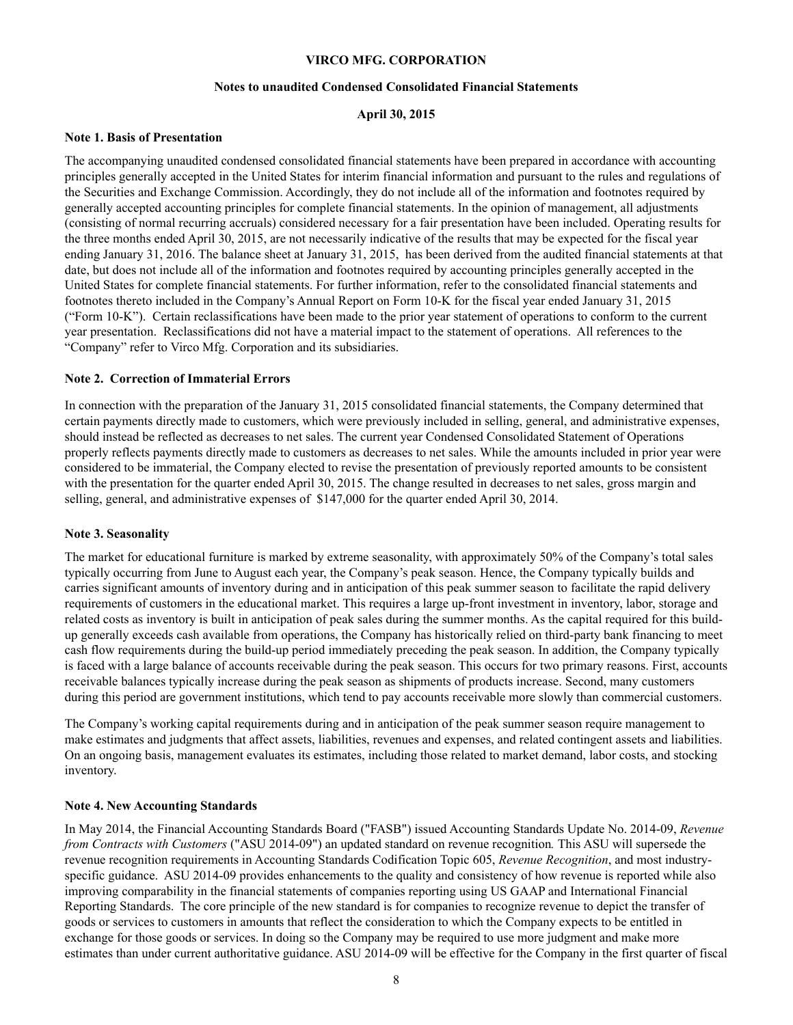#### **VIRCO MFG. CORPORATION**

#### **Notes to unaudited Condensed Consolidated Financial Statements**

#### **April 30, 2015**

#### <span id="page-8-0"></span>**Note 1. Basis of Presentation**

The accompanying unaudited condensed consolidated financial statements have been prepared in accordance with accounting principles generally accepted in the United States for interim financial information and pursuant to the rules and regulations of the Securities and Exchange Commission. Accordingly, they do not include all of the information and footnotes required by generally accepted accounting principles for complete financial statements. In the opinion of management, all adjustments (consisting of normal recurring accruals) considered necessary for a fair presentation have been included. Operating results for the three months ended April 30, 2015, are not necessarily indicative of the results that may be expected for the fiscal year ending January 31, 2016. The balance sheet at January 31, 2015, has been derived from the audited financial statements at that date, but does not include all of the information and footnotes required by accounting principles generally accepted in the United States for complete financial statements. For further information, refer to the consolidated financial statements and footnotes thereto included in the Company's Annual Report on Form 10-K for the fiscal year ended January 31, 2015 ("Form 10-K"). Certain reclassifications have been made to the prior year statement of operations to conform to the current year presentation. Reclassifications did not have a material impact to the statement of operations. All references to the "Company" refer to Virco Mfg. Corporation and its subsidiaries.

#### **Note 2. Correction of Immaterial Errors**

In connection with the preparation of the January 31, 2015 consolidated financial statements, the Company determined that certain payments directly made to customers, which were previously included in selling, general, and administrative expenses, should instead be reflected as decreases to net sales. The current year Condensed Consolidated Statement of Operations properly reflects payments directly made to customers as decreases to net sales. While the amounts included in prior year were considered to be immaterial, the Company elected to revise the presentation of previously reported amounts to be consistent with the presentation for the quarter ended April 30, 2015. The change resulted in decreases to net sales, gross margin and selling, general, and administrative expenses of \$147,000 for the quarter ended April 30, 2014.

#### **Note 3. Seasonality**

The market for educational furniture is marked by extreme seasonality, with approximately 50% of the Company's total sales typically occurring from June to August each year, the Company's peak season. Hence, the Company typically builds and carries significant amounts of inventory during and in anticipation of this peak summer season to facilitate the rapid delivery requirements of customers in the educational market. This requires a large up-front investment in inventory, labor, storage and related costs as inventory is built in anticipation of peak sales during the summer months. As the capital required for this buildup generally exceeds cash available from operations, the Company has historically relied on third-party bank financing to meet cash flow requirements during the build-up period immediately preceding the peak season. In addition, the Company typically is faced with a large balance of accounts receivable during the peak season. This occurs for two primary reasons. First, accounts receivable balances typically increase during the peak season as shipments of products increase. Second, many customers during this period are government institutions, which tend to pay accounts receivable more slowly than commercial customers.

The Company's working capital requirements during and in anticipation of the peak summer season require management to make estimates and judgments that affect assets, liabilities, revenues and expenses, and related contingent assets and liabilities. On an ongoing basis, management evaluates its estimates, including those related to market demand, labor costs, and stocking inventory.

#### **Note 4. New Accounting Standards**

In May 2014, the Financial Accounting Standards Board ("FASB") issued Accounting Standards Update No. 2014-09, *Revenue from Contracts with Customers* ("ASU 2014-09") an updated standard on revenue recognition*.* This ASU will supersede the revenue recognition requirements in Accounting Standards Codification Topic 605, *Revenue Recognition*, and most industryspecific guidance. ASU 2014-09 provides enhancements to the quality and consistency of how revenue is reported while also improving comparability in the financial statements of companies reporting using US GAAP and International Financial Reporting Standards. The core principle of the new standard is for companies to recognize revenue to depict the transfer of goods or services to customers in amounts that reflect the consideration to which the Company expects to be entitled in exchange for those goods or services. In doing so the Company may be required to use more judgment and make more estimates than under current authoritative guidance. ASU 2014-09 will be effective for the Company in the first quarter of fiscal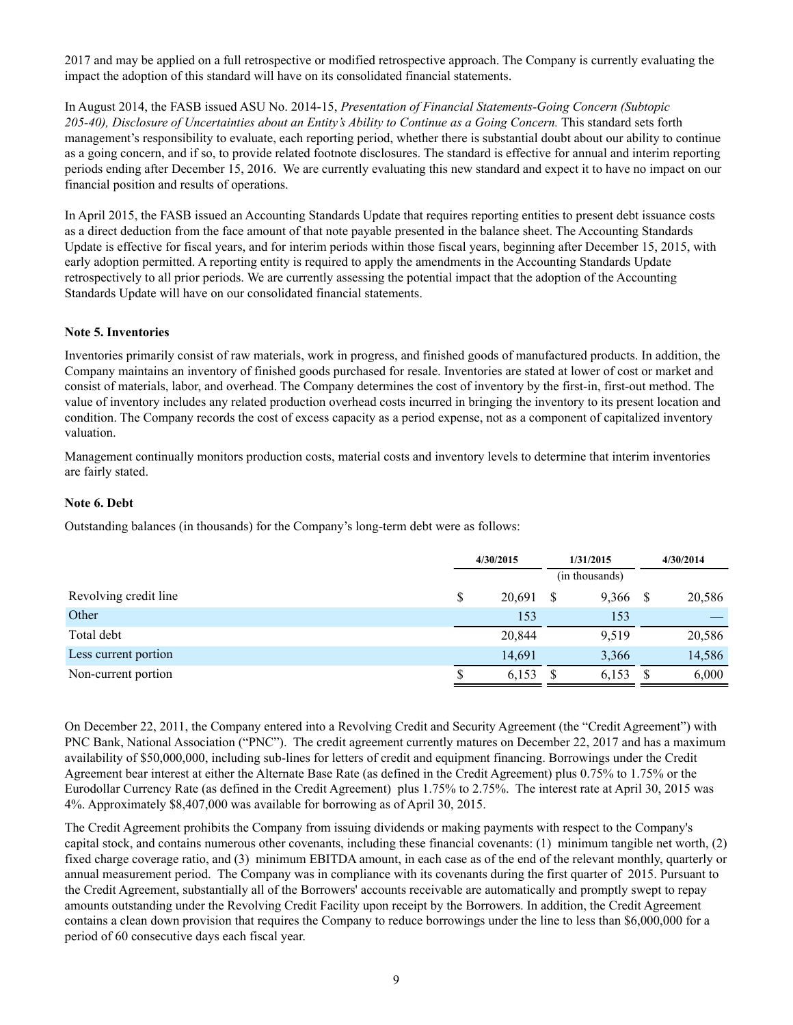2017 and may be applied on a full retrospective or modified retrospective approach. The Company is currently evaluating the impact the adoption of this standard will have on its consolidated financial statements.

In August 2014, the FASB issued ASU No. 2014-15, *Presentation of Financial Statements-Going Concern (Subtopic 205-40), Disclosure of Uncertainties about an Entity's Ability to Continue as a Going Concern.* This standard sets forth management's responsibility to evaluate, each reporting period, whether there is substantial doubt about our ability to continue as a going concern, and if so, to provide related footnote disclosures. The standard is effective for annual and interim reporting periods ending after December 15, 2016. We are currently evaluating this new standard and expect it to have no impact on our financial position and results of operations.

In April 2015, the FASB issued an Accounting Standards Update that requires reporting entities to present debt issuance costs as a direct deduction from the face amount of that note payable presented in the balance sheet. The Accounting Standards Update is effective for fiscal years, and for interim periods within those fiscal years, beginning after December 15, 2015, with early adoption permitted. A reporting entity is required to apply the amendments in the Accounting Standards Update retrospectively to all prior periods. We are currently assessing the potential impact that the adoption of the Accounting Standards Update will have on our consolidated financial statements.

#### **Note 5. Inventories**

Inventories primarily consist of raw materials, work in progress, and finished goods of manufactured products. In addition, the Company maintains an inventory of finished goods purchased for resale. Inventories are stated at lower of cost or market and consist of materials, labor, and overhead. The Company determines the cost of inventory by the first-in, first-out method. The value of inventory includes any related production overhead costs incurred in bringing the inventory to its present location and condition. The Company records the cost of excess capacity as a period expense, not as a component of capitalized inventory valuation.

Management continually monitors production costs, material costs and inventory levels to determine that interim inventories are fairly stated.

#### **Note 6. Debt**

Outstanding balances (in thousands) for the Company's long-term debt were as follows:

|                       | 4/30/2015 |        | 1/31/2015 |                |              | 4/30/2014 |
|-----------------------|-----------|--------|-----------|----------------|--------------|-----------|
|                       |           |        |           | (in thousands) |              |           |
| Revolving credit line | \$        | 20.691 | S         | 9.366          | -S           | 20,586    |
| Other                 |           | 153    |           | 153            |              |           |
| Total debt            |           | 20,844 |           | 9,519          |              | 20,586    |
| Less current portion  |           | 14,691 |           | 3,366          |              | 14,586    |
| Non-current portion   | \$        | 6,153  |           | 6,153          | <sup>8</sup> | 6,000     |

On December 22, 2011, the Company entered into a Revolving Credit and Security Agreement (the "Credit Agreement") with PNC Bank, National Association ("PNC"). The credit agreement currently matures on December 22, 2017 and has a maximum availability of \$50,000,000, including sub-lines for letters of credit and equipment financing. Borrowings under the Credit Agreement bear interest at either the Alternate Base Rate (as defined in the Credit Agreement) plus 0.75% to 1.75% or the Eurodollar Currency Rate (as defined in the Credit Agreement) plus 1.75% to 2.75%. The interest rate at April 30, 2015 was 4%. Approximately \$8,407,000 was available for borrowing as of April 30, 2015.

The Credit Agreement prohibits the Company from issuing dividends or making payments with respect to the Company's capital stock, and contains numerous other covenants, including these financial covenants: (1) minimum tangible net worth, (2) fixed charge coverage ratio, and (3) minimum EBITDA amount, in each case as of the end of the relevant monthly, quarterly or annual measurement period. The Company was in compliance with its covenants during the first quarter of 2015. Pursuant to the Credit Agreement, substantially all of the Borrowers' accounts receivable are automatically and promptly swept to repay amounts outstanding under the Revolving Credit Facility upon receipt by the Borrowers. In addition, the Credit Agreement contains a clean down provision that requires the Company to reduce borrowings under the line to less than \$6,000,000 for a period of 60 consecutive days each fiscal year.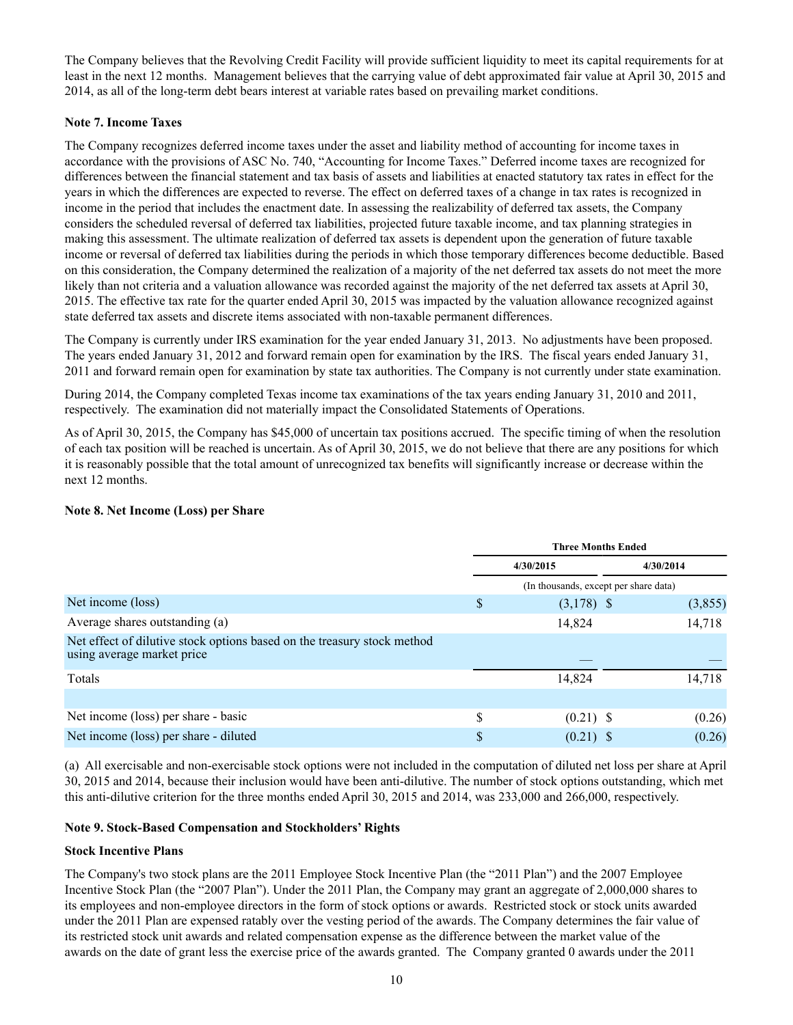The Company believes that the Revolving Credit Facility will provide sufficient liquidity to meet its capital requirements for at least in the next 12 months. Management believes that the carrying value of debt approximated fair value at April 30, 2015 and 2014, as all of the long-term debt bears interest at variable rates based on prevailing market conditions.

#### **Note 7. Income Taxes**

The Company recognizes deferred income taxes under the asset and liability method of accounting for income taxes in accordance with the provisions of ASC No. 740, "Accounting for Income Taxes." Deferred income taxes are recognized for differences between the financial statement and tax basis of assets and liabilities at enacted statutory tax rates in effect for the years in which the differences are expected to reverse. The effect on deferred taxes of a change in tax rates is recognized in income in the period that includes the enactment date. In assessing the realizability of deferred tax assets, the Company considers the scheduled reversal of deferred tax liabilities, projected future taxable income, and tax planning strategies in making this assessment. The ultimate realization of deferred tax assets is dependent upon the generation of future taxable income or reversal of deferred tax liabilities during the periods in which those temporary differences become deductible. Based on this consideration, the Company determined the realization of a majority of the net deferred tax assets do not meet the more likely than not criteria and a valuation allowance was recorded against the majority of the net deferred tax assets at April 30, 2015. The effective tax rate for the quarter ended April 30, 2015 was impacted by the valuation allowance recognized against state deferred tax assets and discrete items associated with non-taxable permanent differences.

The Company is currently under IRS examination for the year ended January 31, 2013. No adjustments have been proposed. The years ended January 31, 2012 and forward remain open for examination by the IRS. The fiscal years ended January 31, 2011 and forward remain open for examination by state tax authorities. The Company is not currently under state examination.

During 2014, the Company completed Texas income tax examinations of the tax years ending January 31, 2010 and 2011, respectively. The examination did not materially impact the Consolidated Statements of Operations.

As of April 30, 2015, the Company has \$45,000 of uncertain tax positions accrued. The specific timing of when the resolution of each tax position will be reached is uncertain. As of April 30, 2015, we do not believe that there are any positions for which it is reasonably possible that the total amount of unrecognized tax benefits will significantly increase or decrease within the next 12 months.

|                                                                                                       | <b>Three Months Ended</b>             |              |  |           |  |  |  |  |
|-------------------------------------------------------------------------------------------------------|---------------------------------------|--------------|--|-----------|--|--|--|--|
|                                                                                                       | 4/30/2015                             |              |  | 4/30/2014 |  |  |  |  |
|                                                                                                       | (In thousands, except per share data) |              |  |           |  |  |  |  |
| Net income (loss)                                                                                     | \$                                    | $(3,178)$ \$ |  | (3,855)   |  |  |  |  |
| Average shares outstanding (a)                                                                        |                                       | 14,824       |  | 14,718    |  |  |  |  |
| Net effect of dilutive stock options based on the treasury stock method<br>using average market price |                                       |              |  |           |  |  |  |  |
| Totals                                                                                                |                                       | 14,824       |  | 14,718    |  |  |  |  |
|                                                                                                       |                                       |              |  |           |  |  |  |  |
| Net income (loss) per share - basic                                                                   | \$                                    | $(0.21)$ \$  |  | (0.26)    |  |  |  |  |
| Net income (loss) per share - diluted                                                                 | \$                                    | $(0.21)$ \$  |  | (0.26)    |  |  |  |  |

#### **Note 8. Net Income (Loss) per Share**

(a) All exercisable and non-exercisable stock options were not included in the computation of diluted net loss per share at April 30, 2015 and 2014, because their inclusion would have been anti-dilutive. The number of stock options outstanding, which met this anti-dilutive criterion for the three months ended April 30, 2015 and 2014, was 233,000 and 266,000, respectively.

#### **Note 9. Stock-Based Compensation and Stockholders' Rights**

#### **Stock Incentive Plans**

The Company's two stock plans are the 2011 Employee Stock Incentive Plan (the "2011 Plan") and the 2007 Employee Incentive Stock Plan (the "2007 Plan"). Under the 2011 Plan, the Company may grant an aggregate of 2,000,000 shares to its employees and non-employee directors in the form of stock options or awards. Restricted stock or stock units awarded under the 2011 Plan are expensed ratably over the vesting period of the awards. The Company determines the fair value of its restricted stock unit awards and related compensation expense as the difference between the market value of the awards on the date of grant less the exercise price of the awards granted. The Company granted 0 awards under the 2011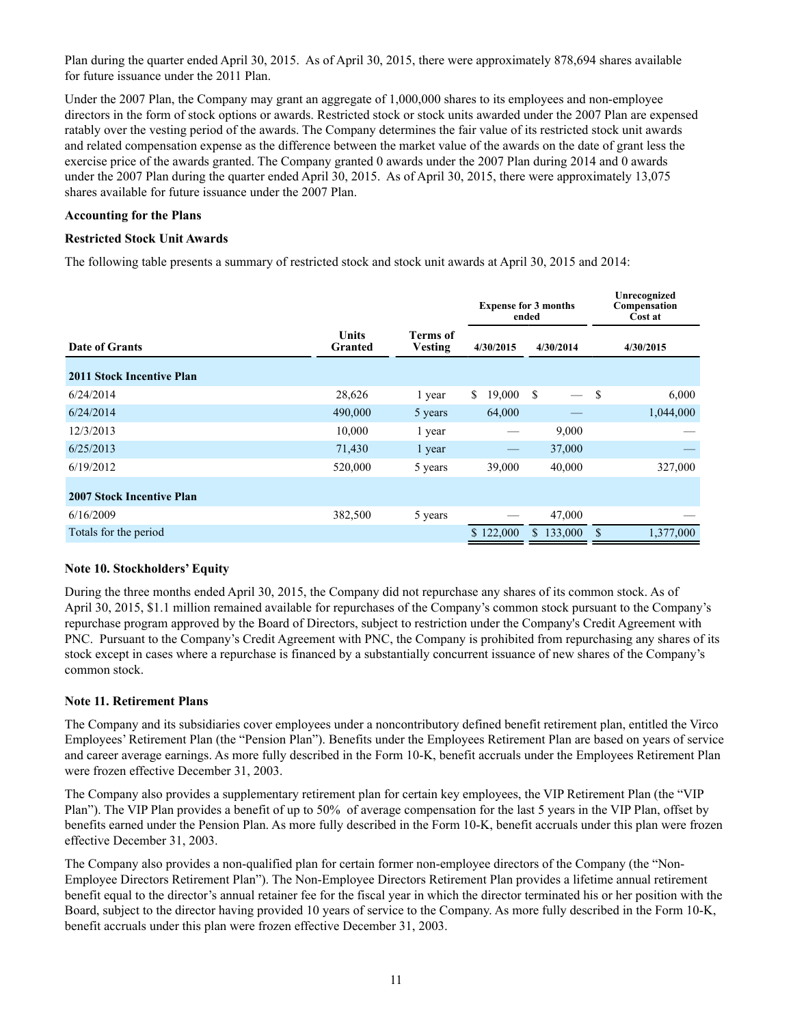Plan during the quarter ended April 30, 2015. As of April 30, 2015, there were approximately 878,694 shares available for future issuance under the 2011 Plan.

Under the 2007 Plan, the Company may grant an aggregate of 1,000,000 shares to its employees and non-employee directors in the form of stock options or awards. Restricted stock or stock units awarded under the 2007 Plan are expensed ratably over the vesting period of the awards. The Company determines the fair value of its restricted stock unit awards and related compensation expense as the difference between the market value of the awards on the date of grant less the exercise price of the awards granted. The Company granted 0 awards under the 2007 Plan during 2014 and 0 awards under the 2007 Plan during the quarter ended April 30, 2015. As of April 30, 2015, there were approximately 13,075 shares available for future issuance under the 2007 Plan.

#### **Accounting for the Plans**

#### **Restricted Stock Unit Awards**

The following table presents a summary of restricted stock and stock unit awards at April 30, 2015 and 2014:

|                                  |                         |                            |                        | <b>Expense for 3 months</b><br>ended | Unrecognized<br>Compensation<br>Cost at |
|----------------------------------|-------------------------|----------------------------|------------------------|--------------------------------------|-----------------------------------------|
| Date of Grants                   | <b>Units</b><br>Granted | Terms of<br><b>Vesting</b> | 4/30/2015<br>4/30/2014 |                                      | 4/30/2015                               |
| <b>2011 Stock Incentive Plan</b> |                         |                            |                        |                                      |                                         |
| 6/24/2014                        | 28,626                  | 1 year                     | 19,000<br>\$           | \$                                   | <sup>\$</sup><br>6,000                  |
| 6/24/2014                        | 490,000                 | 5 years                    | 64,000                 |                                      | 1,044,000                               |
| 12/3/2013                        | 10,000                  | 1 year                     |                        | 9,000                                |                                         |
| 6/25/2013                        | 71,430                  | 1 year                     |                        | 37,000                               |                                         |
| 6/19/2012                        | 520,000                 | 5 years                    | 39,000                 | 40,000                               | 327,000                                 |
| <b>2007 Stock Incentive Plan</b> |                         |                            |                        |                                      |                                         |
| 6/16/2009                        | 382,500                 | 5 years                    |                        | 47,000                               |                                         |
| Totals for the period            |                         |                            | \$122,000              | 133,000<br>\$                        | 1,377,000<br>S                          |

#### **Note 10. Stockholders' Equity**

During the three months ended April 30, 2015, the Company did not repurchase any shares of its common stock. As of April 30, 2015, \$1.1 million remained available for repurchases of the Company's common stock pursuant to the Company's repurchase program approved by the Board of Directors, subject to restriction under the Company's Credit Agreement with PNC. Pursuant to the Company's Credit Agreement with PNC, the Company is prohibited from repurchasing any shares of its stock except in cases where a repurchase is financed by a substantially concurrent issuance of new shares of the Company's common stock.

#### **Note 11. Retirement Plans**

The Company and its subsidiaries cover employees under a noncontributory defined benefit retirement plan, entitled the Virco Employees' Retirement Plan (the "Pension Plan"). Benefits under the Employees Retirement Plan are based on years of service and career average earnings. As more fully described in the Form 10-K, benefit accruals under the Employees Retirement Plan were frozen effective December 31, 2003.

The Company also provides a supplementary retirement plan for certain key employees, the VIP Retirement Plan (the "VIP Plan"). The VIP Plan provides a benefit of up to 50% of average compensation for the last 5 years in the VIP Plan, offset by benefits earned under the Pension Plan. As more fully described in the Form 10-K, benefit accruals under this plan were frozen effective December 31, 2003.

The Company also provides a non-qualified plan for certain former non-employee directors of the Company (the "Non-Employee Directors Retirement Plan"). The Non-Employee Directors Retirement Plan provides a lifetime annual retirement benefit equal to the director's annual retainer fee for the fiscal year in which the director terminated his or her position with the Board, subject to the director having provided 10 years of service to the Company. As more fully described in the Form 10-K, benefit accruals under this plan were frozen effective December 31, 2003.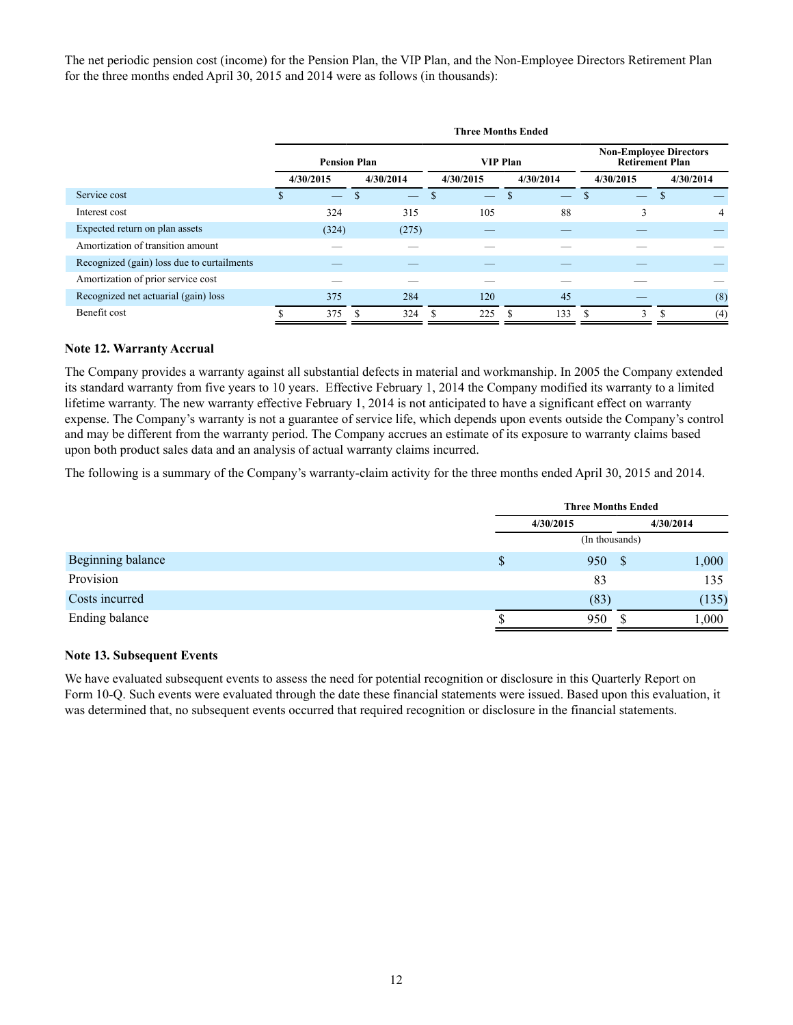The net periodic pension cost (income) for the Pension Plan, the VIP Plan, and the Non-Employee Directors Retirement Plan for the three months ended April 30, 2015 and 2014 were as follows (in thousands):

|                                            | <b>Three Months Ended</b> |                          |  |                          |                 |           |  |                          |                                                         |           |    |           |
|--------------------------------------------|---------------------------|--------------------------|--|--------------------------|-----------------|-----------|--|--------------------------|---------------------------------------------------------|-----------|----|-----------|
|                                            |                           | <b>Pension Plan</b>      |  |                          | <b>VIP Plan</b> |           |  |                          | <b>Non-Employee Directors</b><br><b>Retirement Plan</b> |           |    |           |
|                                            |                           | 4/30/2015                |  | 4/30/2014                |                 | 4/30/2015 |  | 4/30/2014                |                                                         | 4/30/2015 |    | 4/30/2014 |
| Service cost                               |                           | $\overline{\phantom{0}}$ |  | $\overline{\phantom{0}}$ |                 |           |  | $\overline{\phantom{0}}$ |                                                         |           |    |           |
| Interest cost                              |                           | 324                      |  | 315                      |                 | 105       |  | 88                       |                                                         | 3         |    | 4         |
| Expected return on plan assets             |                           | (324)                    |  | (275)                    |                 |           |  |                          |                                                         |           |    |           |
| Amortization of transition amount          |                           |                          |  |                          |                 |           |  |                          |                                                         |           |    |           |
| Recognized (gain) loss due to curtailments |                           |                          |  |                          |                 |           |  |                          |                                                         |           |    |           |
| Amortization of prior service cost         |                           |                          |  |                          |                 |           |  |                          |                                                         |           |    |           |
| Recognized net actuarial (gain) loss       |                           | 375                      |  | 284                      |                 | 120       |  | 45                       |                                                         |           |    | (8)       |
| Benefit cost                               |                           | 375                      |  | 324                      |                 | 225       |  | 133                      |                                                         | 3         | -S | (4)       |

#### **Note 12. Warranty Accrual**

The Company provides a warranty against all substantial defects in material and workmanship. In 2005 the Company extended its standard warranty from five years to 10 years. Effective February 1, 2014 the Company modified its warranty to a limited lifetime warranty. The new warranty effective February 1, 2014 is not anticipated to have a significant effect on warranty expense. The Company's warranty is not a guarantee of service life, which depends upon events outside the Company's control and may be different from the warranty period. The Company accrues an estimate of its exposure to warranty claims based upon both product sales data and an analysis of actual warranty claims incurred.

The following is a summary of the Company's warranty-claim activity for the three months ended April 30, 2015 and 2014.

|                   |   | <b>Three Months Ended</b> |      |           |  |  |  |
|-------------------|---|---------------------------|------|-----------|--|--|--|
|                   |   | 4/30/2015                 |      | 4/30/2014 |  |  |  |
|                   |   | (In thousands)            |      |           |  |  |  |
| Beginning balance | S | 950                       | - \$ | 1,000     |  |  |  |
| Provision         |   | 83                        |      | 135       |  |  |  |
| Costs incurred    |   | (83)                      |      | (135)     |  |  |  |
| Ending balance    |   | 950                       |      | 1,000     |  |  |  |

#### **Note 13. Subsequent Events**

We have evaluated subsequent events to assess the need for potential recognition or disclosure in this Quarterly Report on Form 10-Q. Such events were evaluated through the date these financial statements were issued. Based upon this evaluation, it was determined that, no subsequent events occurred that required recognition or disclosure in the financial statements.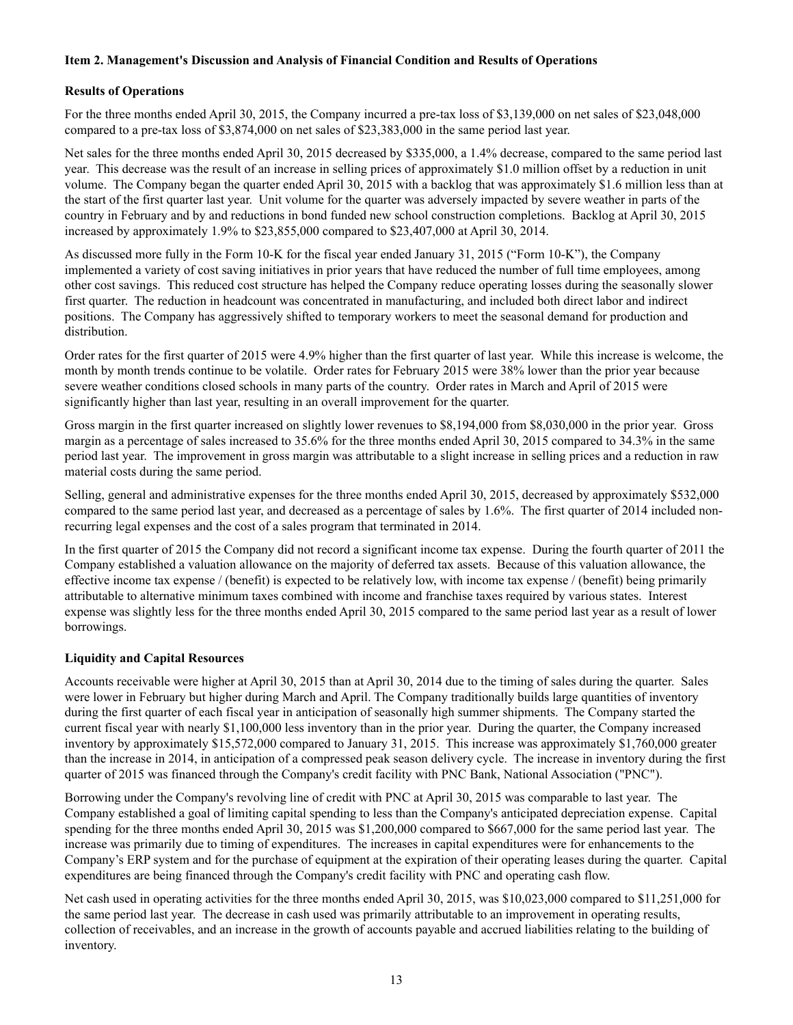#### <span id="page-13-0"></span>**Item 2. Management's Discussion and Analysis of Financial Condition and Results of Operations**

#### **Results of Operations**

For the three months ended April 30, 2015, the Company incurred a pre-tax loss of \$3,139,000 on net sales of \$23,048,000 compared to a pre-tax loss of \$3,874,000 on net sales of \$23,383,000 in the same period last year.

Net sales for the three months ended April 30, 2015 decreased by \$335,000, a 1.4% decrease, compared to the same period last year. This decrease was the result of an increase in selling prices of approximately \$1.0 million offset by a reduction in unit volume. The Company began the quarter ended April 30, 2015 with a backlog that was approximately \$1.6 million less than at the start of the first quarter last year. Unit volume for the quarter was adversely impacted by severe weather in parts of the country in February and by and reductions in bond funded new school construction completions. Backlog at April 30, 2015 increased by approximately 1.9% to \$23,855,000 compared to \$23,407,000 at April 30, 2014.

As discussed more fully in the Form 10-K for the fiscal year ended January 31, 2015 ("Form 10-K"), the Company implemented a variety of cost saving initiatives in prior years that have reduced the number of full time employees, among other cost savings. This reduced cost structure has helped the Company reduce operating losses during the seasonally slower first quarter. The reduction in headcount was concentrated in manufacturing, and included both direct labor and indirect positions. The Company has aggressively shifted to temporary workers to meet the seasonal demand for production and distribution.

Order rates for the first quarter of 2015 were 4.9% higher than the first quarter of last year. While this increase is welcome, the month by month trends continue to be volatile. Order rates for February 2015 were 38% lower than the prior year because severe weather conditions closed schools in many parts of the country. Order rates in March and April of 2015 were significantly higher than last year, resulting in an overall improvement for the quarter.

Gross margin in the first quarter increased on slightly lower revenues to \$8,194,000 from \$8,030,000 in the prior year. Gross margin as a percentage of sales increased to 35.6% for the three months ended April 30, 2015 compared to 34.3% in the same period last year. The improvement in gross margin was attributable to a slight increase in selling prices and a reduction in raw material costs during the same period.

Selling, general and administrative expenses for the three months ended April 30, 2015, decreased by approximately \$532,000 compared to the same period last year, and decreased as a percentage of sales by 1.6%. The first quarter of 2014 included nonrecurring legal expenses and the cost of a sales program that terminated in 2014.

In the first quarter of 2015 the Company did not record a significant income tax expense. During the fourth quarter of 2011 the Company established a valuation allowance on the majority of deferred tax assets. Because of this valuation allowance, the effective income tax expense / (benefit) is expected to be relatively low, with income tax expense / (benefit) being primarily attributable to alternative minimum taxes combined with income and franchise taxes required by various states. Interest expense was slightly less for the three months ended April 30, 2015 compared to the same period last year as a result of lower borrowings.

#### **Liquidity and Capital Resources**

Accounts receivable were higher at April 30, 2015 than at April 30, 2014 due to the timing of sales during the quarter. Sales were lower in February but higher during March and April. The Company traditionally builds large quantities of inventory during the first quarter of each fiscal year in anticipation of seasonally high summer shipments. The Company started the current fiscal year with nearly \$1,100,000 less inventory than in the prior year. During the quarter, the Company increased inventory by approximately \$15,572,000 compared to January 31, 2015. This increase was approximately \$1,760,000 greater than the increase in 2014, in anticipation of a compressed peak season delivery cycle. The increase in inventory during the first quarter of 2015 was financed through the Company's credit facility with PNC Bank, National Association ("PNC").

Borrowing under the Company's revolving line of credit with PNC at April 30, 2015 was comparable to last year. The Company established a goal of limiting capital spending to less than the Company's anticipated depreciation expense. Capital spending for the three months ended April 30, 2015 was \$1,200,000 compared to \$667,000 for the same period last year. The increase was primarily due to timing of expenditures. The increases in capital expenditures were for enhancements to the Company's ERP system and for the purchase of equipment at the expiration of their operating leases during the quarter. Capital expenditures are being financed through the Company's credit facility with PNC and operating cash flow.

Net cash used in operating activities for the three months ended April 30, 2015, was \$10,023,000 compared to \$11,251,000 for the same period last year. The decrease in cash used was primarily attributable to an improvement in operating results, collection of receivables, and an increase in the growth of accounts payable and accrued liabilities relating to the building of inventory.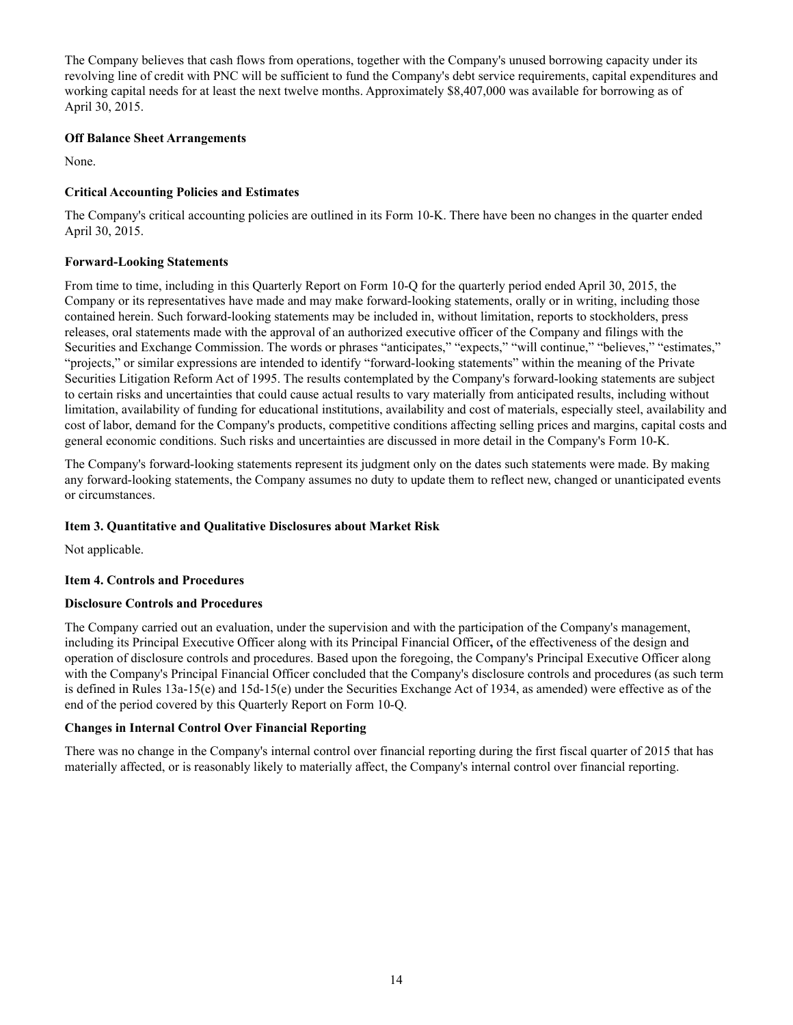The Company believes that cash flows from operations, together with the Company's unused borrowing capacity under its revolving line of credit with PNC will be sufficient to fund the Company's debt service requirements, capital expenditures and working capital needs for at least the next twelve months. Approximately \$8,407,000 was available for borrowing as of April 30, 2015.

#### **Off Balance Sheet Arrangements**

None.

#### **Critical Accounting Policies and Estimates**

The Company's critical accounting policies are outlined in its Form 10-K. There have been no changes in the quarter ended April 30, 2015.

#### **Forward-Looking Statements**

From time to time, including in this Quarterly Report on Form 10-Q for the quarterly period ended April 30, 2015, the Company or its representatives have made and may make forward-looking statements, orally or in writing, including those contained herein. Such forward-looking statements may be included in, without limitation, reports to stockholders, press releases, oral statements made with the approval of an authorized executive officer of the Company and filings with the Securities and Exchange Commission. The words or phrases "anticipates," "expects," "will continue," "believes," "estimates," "projects," or similar expressions are intended to identify "forward-looking statements" within the meaning of the Private Securities Litigation Reform Act of 1995. The results contemplated by the Company's forward-looking statements are subject to certain risks and uncertainties that could cause actual results to vary materially from anticipated results, including without limitation, availability of funding for educational institutions, availability and cost of materials, especially steel, availability and cost of labor, demand for the Company's products, competitive conditions affecting selling prices and margins, capital costs and general economic conditions. Such risks and uncertainties are discussed in more detail in the Company's Form 10-K.

The Company's forward-looking statements represent its judgment only on the dates such statements were made. By making any forward-looking statements, the Company assumes no duty to update them to reflect new, changed or unanticipated events or circumstances.

#### <span id="page-14-0"></span>**Item 3. Quantitative and Qualitative Disclosures about Market Risk**

Not applicable.

#### <span id="page-14-1"></span>**Item 4. Controls and Procedures**

#### **Disclosure Controls and Procedures**

The Company carried out an evaluation, under the supervision and with the participation of the Company's management, including its Principal Executive Officer along with its Principal Financial Officer**,** of the effectiveness of the design and operation of disclosure controls and procedures. Based upon the foregoing, the Company's Principal Executive Officer along with the Company's Principal Financial Officer concluded that the Company's disclosure controls and procedures (as such term is defined in Rules 13a-15(e) and 15d-15(e) under the Securities Exchange Act of 1934, as amended) were effective as of the end of the period covered by this Quarterly Report on Form 10-Q.

#### **Changes in Internal Control Over Financial Reporting**

There was no change in the Company's internal control over financial reporting during the first fiscal quarter of 2015 that has materially affected, or is reasonably likely to materially affect, the Company's internal control over financial reporting.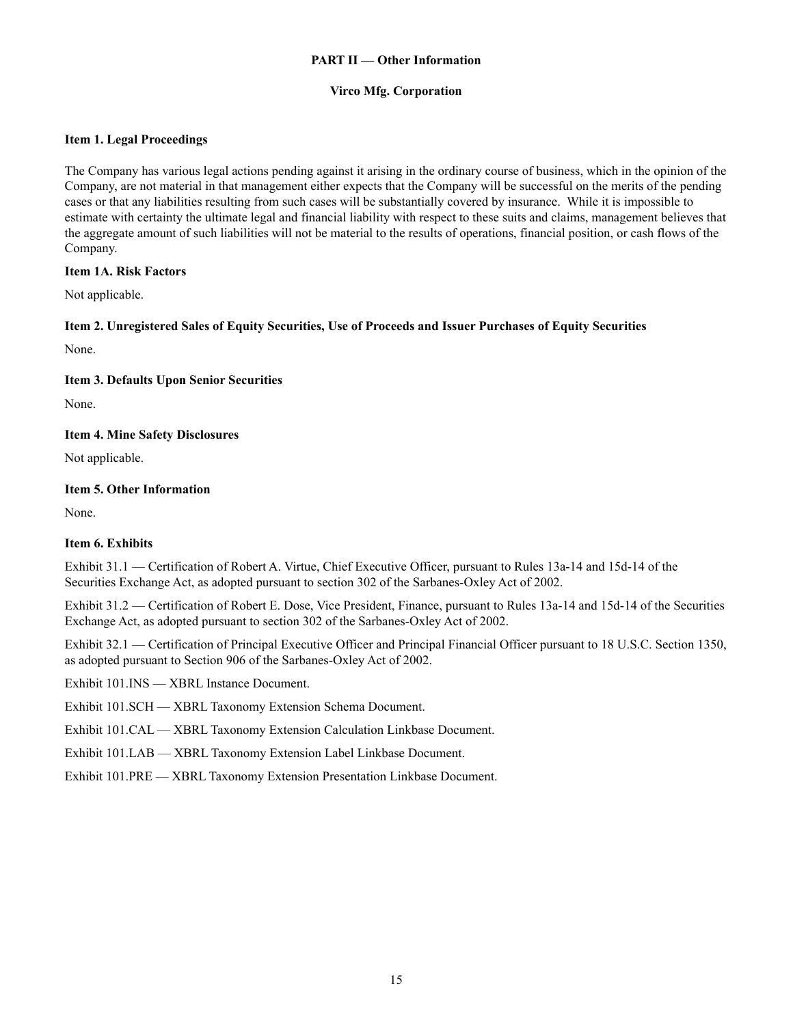#### **PART II — Other Information**

#### **Virco Mfg. Corporation**

#### <span id="page-15-1"></span><span id="page-15-0"></span>**Item 1. Legal Proceedings**

The Company has various legal actions pending against it arising in the ordinary course of business, which in the opinion of the Company, are not material in that management either expects that the Company will be successful on the merits of the pending cases or that any liabilities resulting from such cases will be substantially covered by insurance. While it is impossible to estimate with certainty the ultimate legal and financial liability with respect to these suits and claims, management believes that the aggregate amount of such liabilities will not be material to the results of operations, financial position, or cash flows of the Company.

#### <span id="page-15-2"></span>**Item 1A. Risk Factors**

Not applicable.

#### <span id="page-15-3"></span>**Item 2. [Unregistered Sales of Equity Securities, Use of Proceeds and Issuer Purchases of Equity Securities](#page-15-3)**

None.

#### <span id="page-15-5"></span>**Item 3. Defaults Upon Senior Securities**

None.

## <span id="page-15-6"></span>**Item 4. Mine Safety Disclosures**

Not applicable.

#### <span id="page-15-7"></span>**Item 5. Other Information**

None.

#### <span id="page-15-4"></span>**Item 6. Exhibits**

Exhibit 31.1 — Certification of Robert A. Virtue, Chief Executive Officer, pursuant to Rules 13a-14 and 15d-14 of the Securities Exchange Act, as adopted pursuant to section 302 of the Sarbanes-Oxley Act of 2002.

Exhibit 31.2 — Certification of Robert E. Dose, Vice President, Finance, pursuant to Rules 13a-14 and 15d-14 of the Securities Exchange Act, as adopted pursuant to section 302 of the Sarbanes-Oxley Act of 2002.

Exhibit 32.1 — Certification of Principal Executive Officer and Principal Financial Officer pursuant to 18 U.S.C. Section 1350, as adopted pursuant to Section 906 of the Sarbanes-Oxley Act of 2002.

Exhibit 101.INS — XBRL Instance Document.

Exhibit 101.SCH — XBRL Taxonomy Extension Schema Document.

Exhibit 101.CAL — XBRL Taxonomy Extension Calculation Linkbase Document.

Exhibit 101.LAB — XBRL Taxonomy Extension Label Linkbase Document.

Exhibit 101.PRE — XBRL Taxonomy Extension Presentation Linkbase Document.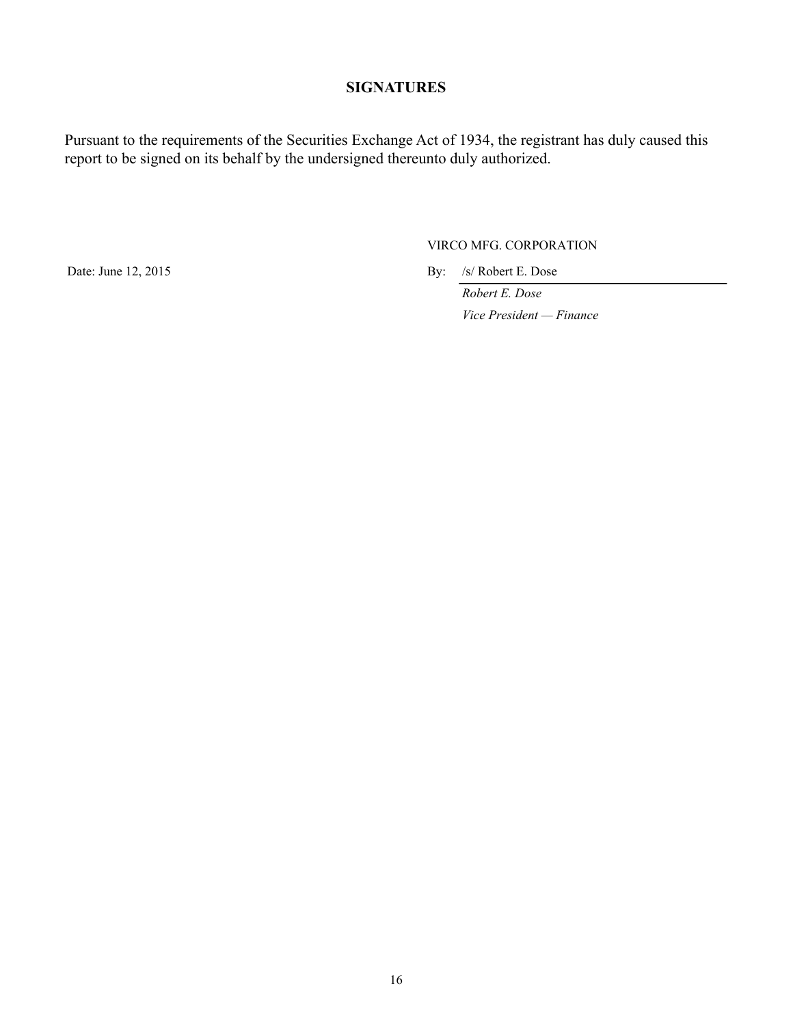## **SIGNATURES**

Pursuant to the requirements of the Securities Exchange Act of 1934, the registrant has duly caused this report to be signed on its behalf by the undersigned thereunto duly authorized.

VIRCO MFG. CORPORATION

Date: June 12, 2015 By: /s/ Robert E. Dose

*Robert E. Dose Vice President — Finance*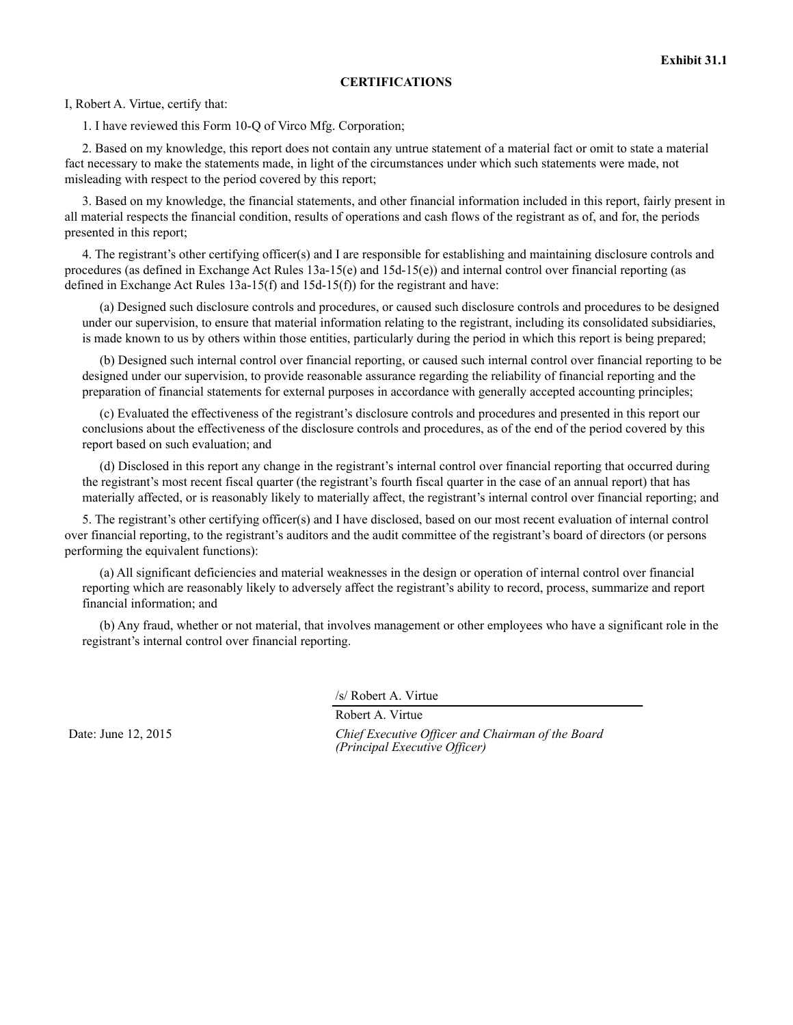#### **CERTIFICATIONS**

I, Robert A. Virtue, certify that:

1. I have reviewed this Form 10-Q of Virco Mfg. Corporation;

2. Based on my knowledge, this report does not contain any untrue statement of a material fact or omit to state a material fact necessary to make the statements made, in light of the circumstances under which such statements were made, not misleading with respect to the period covered by this report;

3. Based on my knowledge, the financial statements, and other financial information included in this report, fairly present in all material respects the financial condition, results of operations and cash flows of the registrant as of, and for, the periods presented in this report;

4. The registrant's other certifying officer(s) and I are responsible for establishing and maintaining disclosure controls and procedures (as defined in Exchange Act Rules 13a-15(e) and 15d-15(e)) and internal control over financial reporting (as defined in Exchange Act Rules 13a-15(f) and 15d-15(f)) for the registrant and have:

(a) Designed such disclosure controls and procedures, or caused such disclosure controls and procedures to be designed under our supervision, to ensure that material information relating to the registrant, including its consolidated subsidiaries, is made known to us by others within those entities, particularly during the period in which this report is being prepared;

(b) Designed such internal control over financial reporting, or caused such internal control over financial reporting to be designed under our supervision, to provide reasonable assurance regarding the reliability of financial reporting and the preparation of financial statements for external purposes in accordance with generally accepted accounting principles;

(c) Evaluated the effectiveness of the registrant's disclosure controls and procedures and presented in this report our conclusions about the effectiveness of the disclosure controls and procedures, as of the end of the period covered by this report based on such evaluation; and

(d) Disclosed in this report any change in the registrant's internal control over financial reporting that occurred during the registrant's most recent fiscal quarter (the registrant's fourth fiscal quarter in the case of an annual report) that has materially affected, or is reasonably likely to materially affect, the registrant's internal control over financial reporting; and

5. The registrant's other certifying officer(s) and I have disclosed, based on our most recent evaluation of internal control over financial reporting, to the registrant's auditors and the audit committee of the registrant's board of directors (or persons performing the equivalent functions):

(a) All significant deficiencies and material weaknesses in the design or operation of internal control over financial reporting which are reasonably likely to adversely affect the registrant's ability to record, process, summarize and report financial information; and

(b) Any fraud, whether or not material, that involves management or other employees who have a significant role in the registrant's internal control over financial reporting.

/s/ Robert A. Virtue

Robert A. Virtue

Date: June 12, 2015 *Chief Executive Officer and Chairman of the Board (Principal Executive Officer)*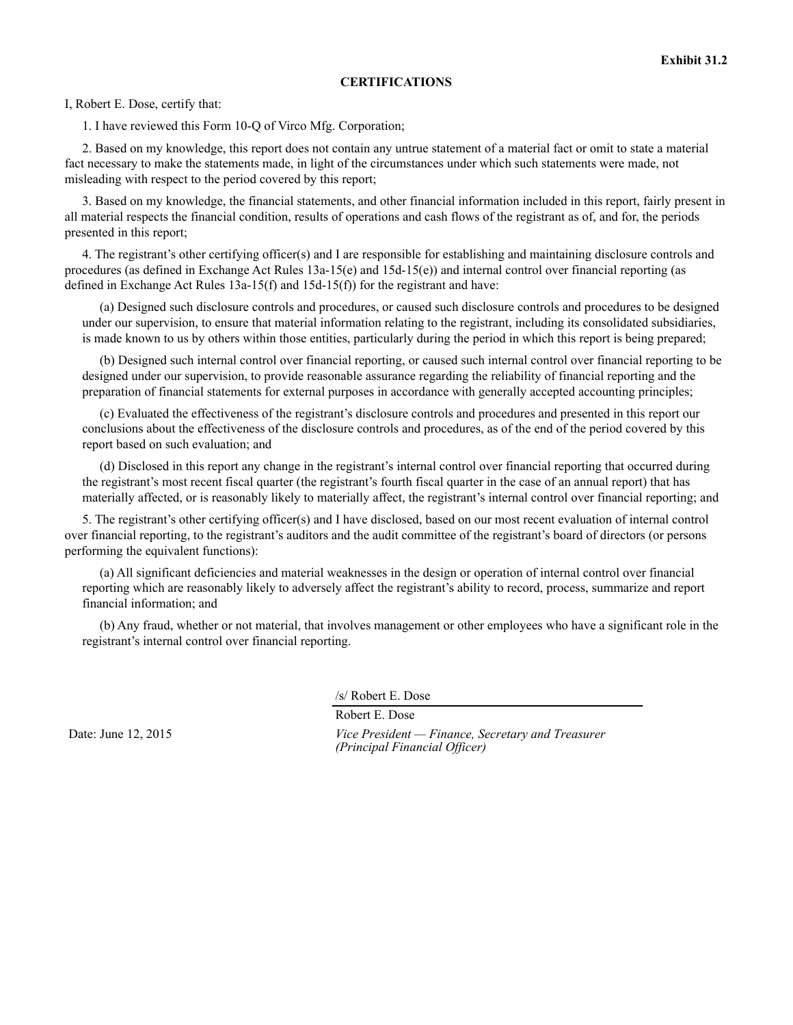#### **CERTIFICATIONS**

I, Robert E. Dose, certify that:

1. I have reviewed this Form 10-Q of Virco Mfg. Corporation;

2. Based on my knowledge, this report does not contain any untrue statement of a material fact or omit to state a material fact necessary to make the statements made, in light of the circumstances under which such statements were made, not misleading with respect to the period covered by this report;

3. Based on my knowledge, the financial statements, and other financial information included in this report, fairly present in all material respects the financial condition, results of operations and cash flows of the registrant as of, and for, the periods presented in this report;

4. The registrant's other certifying officer(s) and I are responsible for establishing and maintaining disclosure controls and procedures (as defined in Exchange Act Rules 13a-15(e) and 15d-15(e)) and internal control over financial reporting (as defined in Exchange Act Rules 13a-15(f) and 15d-15(f)) for the registrant and have:

(a) Designed such disclosure controls and procedures, or caused such disclosure controls and procedures to be designed under our supervision, to ensure that material information relating to the registrant, including its consolidated subsidiaries, is made known to us by others within those entities, particularly during the period in which this report is being prepared;

(b) Designed such internal control over financial reporting, or caused such internal control over financial reporting to be designed under our supervision, to provide reasonable assurance regarding the reliability of financial reporting and the preparation of financial statements for external purposes in accordance with generally accepted accounting principles;

(c) Evaluated the effectiveness of the registrant's disclosure controls and procedures and presented in this report our conclusions about the effectiveness of the disclosure controls and procedures, as of the end of the period covered by this report based on such evaluation; and

(d) Disclosed in this report any change in the registrant's internal control over financial reporting that occurred during the registrant's most recent fiscal quarter (the registrant's fourth fiscal quarter in the case of an annual report) that has materially affected, or is reasonably likely to materially affect, the registrant's internal control over financial reporting; and

5. The registrant's other certifying officer(s) and I have disclosed, based on our most recent evaluation of internal control over financial reporting, to the registrant's auditors and the audit committee of the registrant's board of directors (or persons performing the equivalent functions):

(a) All significant deficiencies and material weaknesses in the design or operation of internal control over financial reporting which are reasonably likely to adversely affect the registrant's ability to record, process, summarize and report financial information; and

(b) Any fraud, whether or not material, that involves management or other employees who have a significant role in the registrant's internal control over financial reporting.

> /s/ Robert E. Dose Robert E. Dose

Date: June 12, 2015 *Vice President — Finance, Secretary and Treasurer (Principal Financial Officer)*